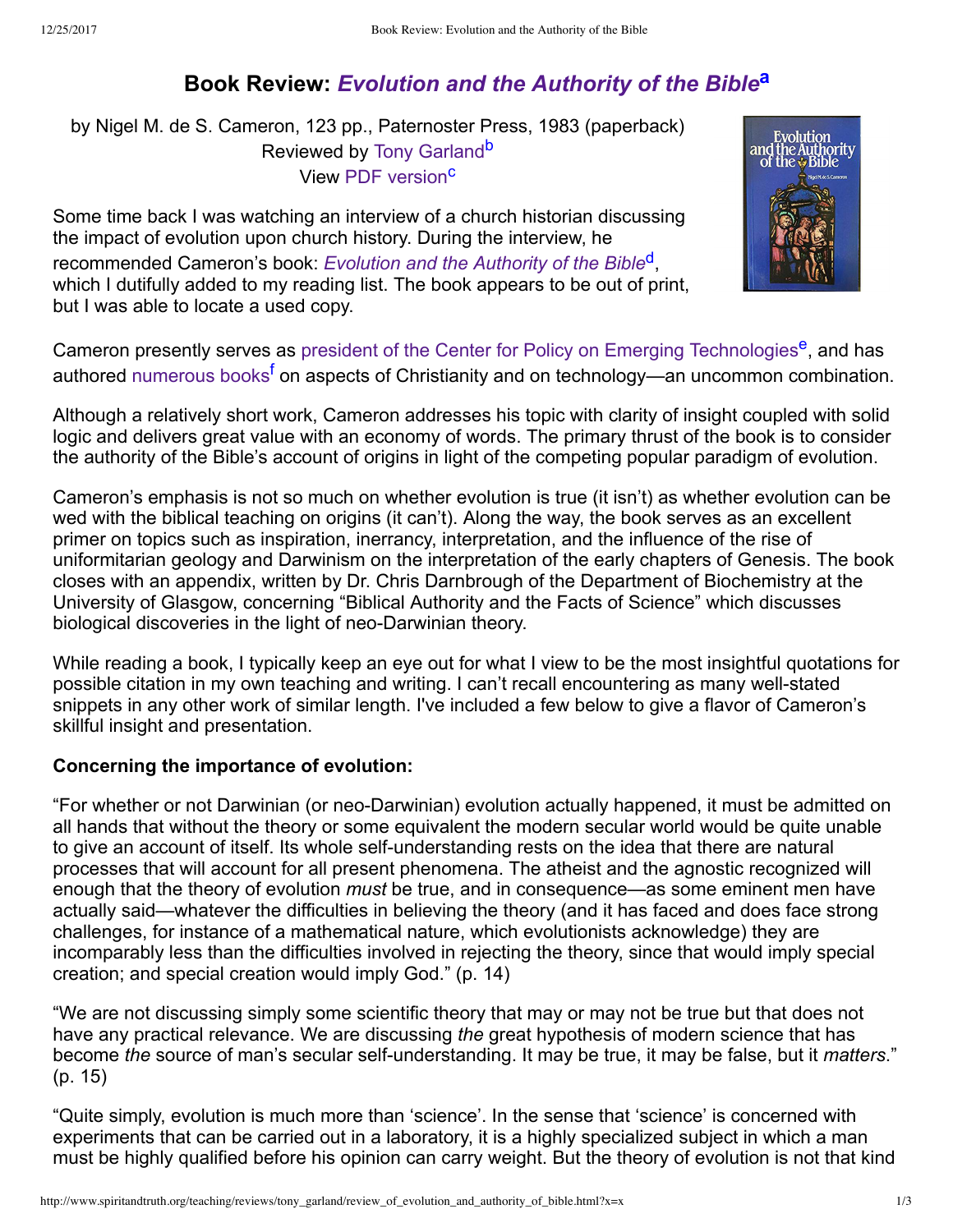# <span id="page-0-2"></span>**Book Review:** *[Evolution and the Authority of the Bible](http://www.spiritandtruth.org/id/isbn.htm?0853643261)***[a](#page-2-0)**

by Nigel M. de S. Cameron, 123 pp., Paternoster Press, 1983 (paperback) Reviewed by [Tony Garland](http://www.spiritandtruth.org/id/tg.htm)<sup>[b](#page-2-1)</sup> View [PDF version](http://www.spiritandtruth.org/teaching/reviews/tony_garland/review_of_evolution_and_authority_of_bible.pdf)<sup>[c](#page-2-2)</sup>

Some time back I was watching an interview of a church historian discussing the impact of evolution upon church history. During the interview, he

recommended Cameron's book: *[Evolution and the Authority of the Bible](http://www.spiritandtruth.org/id/isbn.htm?0853643261)*[d](#page-2-3) , which I dutifully added to my reading list. The book appears to be out of print, but I was able to locate a used copy.

<span id="page-0-4"></span><span id="page-0-3"></span><span id="page-0-1"></span><span id="page-0-0"></span>

<span id="page-0-5"></span>Cameron presently serves as [president of the Center for Policy on Emerging Technologies](https://cbhd.org/content/nigel-m-de-s-cameron-phd)<sup>[e](#page-2-4)</sup>, and has authored [numerous books](https://amazon.com/Nigel-M.-de-S.-Cameron/e/B001H6GWYO/)<sup>[f](#page-2-5)</sup> on aspects of Christianity and on technology—an uncommon combination.

Although a relatively short work, Cameron addresses his topic with clarity of insight coupled with solid logic and delivers great value with an economy of words. The primary thrust of the book is to consider the authority of the Bible's account of origins in light of the competing popular paradigm of evolution.

Cameron's emphasis is not so much on whether evolution is true (it isn't) as whether evolution can be wed with the biblical teaching on origins (it can't). Along the way, the book serves as an excellent primer on topics such as inspiration, inerrancy, interpretation, and the influence of the rise of uniformitarian geology and Darwinism on the interpretation of the early chapters of Genesis. The book closes with an appendix, written by Dr. Chris Darnbrough of the Department of Biochemistry at the University of Glasgow, concerning "Biblical Authority and the Facts of Science" which discusses biological discoveries in the light of neo-Darwinian theory.

While reading a book, I typically keep an eye out for what I view to be the most insightful quotations for possible citation in my own teaching and writing. I can't recall encountering as many well-stated snippets in any other work of similar length. I've included a few below to give a flavor of Cameron's skillful insight and presentation.

## **Concerning the importance of evolution:**

"For whether or not Darwinian (or neo-Darwinian) evolution actually happened, it must be admitted on all hands that without the theory or some equivalent the modern secular world would be quite unable to give an account of itself. Its whole self-understanding rests on the idea that there are natural processes that will account for all present phenomena. The atheist and the agnostic recognized will enough that the theory of evolution *must* be true, and in consequence—as some eminent men have actually said—whatever the difficulties in believing the theory (and it has faced and does face strong challenges, for instance of a mathematical nature, which evolutionists acknowledge) they are incomparably less than the difficulties involved in rejecting the theory, since that would imply special creation; and special creation would imply God." (p. 14)

"We are not discussing simply some scientific theory that may or may not be true but that does not have any practical relevance. We are discussing *the* great hypothesis of modern science that has become *the* source of man's secular self-understanding. It may be true, it may be false, but it *matters*." (p. 15)

"Quite simply, evolution is much more than 'science'. In the sense that 'science' is concerned with experiments that can be carried out in a laboratory, it is a highly specialized subject in which a man must be highly qualified before his opinion can carry weight. But the theory of evolution is not that kind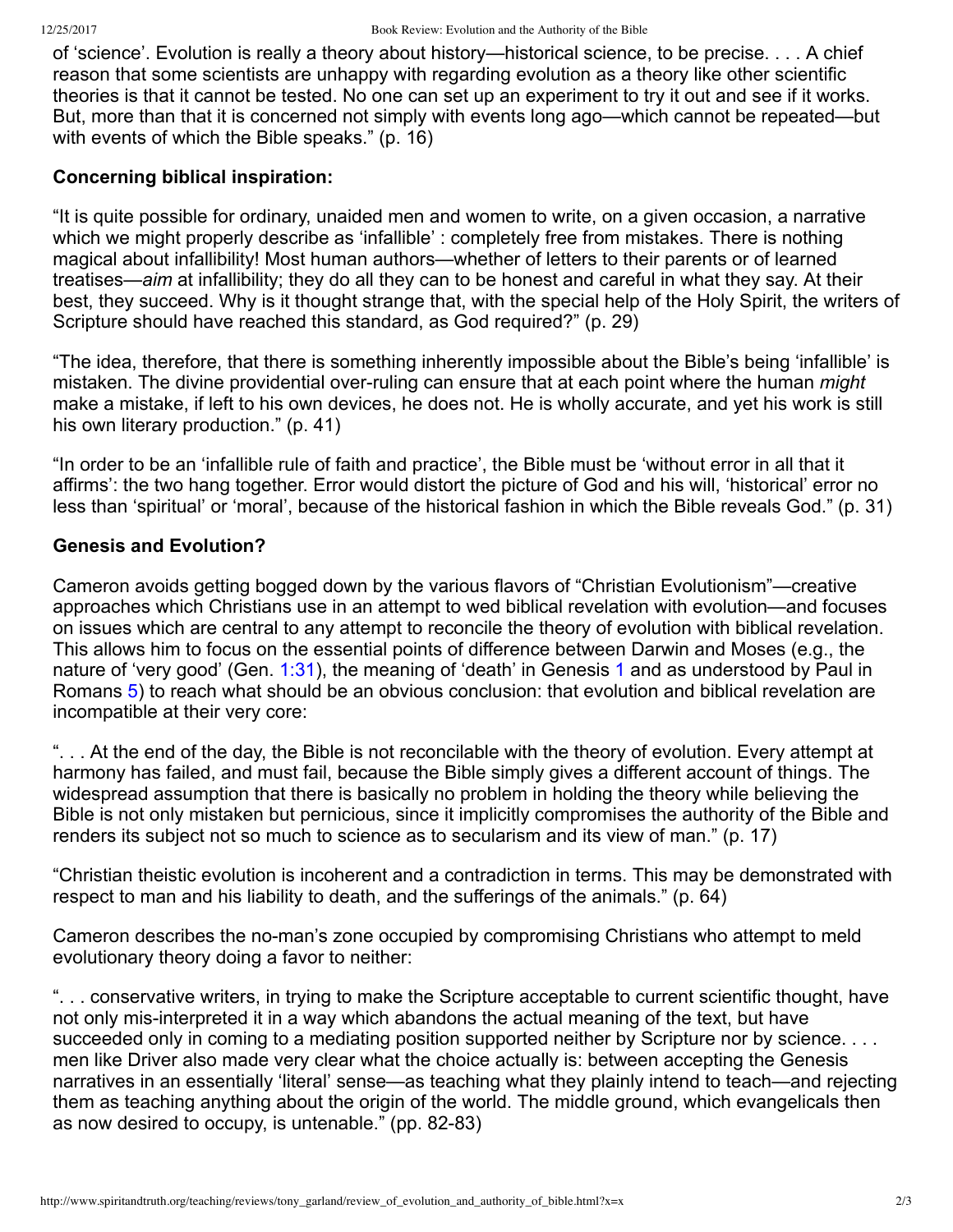of 'science'. Evolution is really a theory about history—historical science, to be precise. . . . A chief reason that some scientists are unhappy with regarding evolution as a theory like other scientific theories is that it cannot be tested. No one can set up an experiment to try it out and see if it works. But, more than that it is concerned not simply with events long ago—which cannot be repeated—but with events of which the Bible speaks." (p. 16)

#### **Concerning biblical inspiration:**

"It is quite possible for ordinary, unaided men and women to write, on a given occasion, a narrative which we might properly describe as 'infallible' : completely free from mistakes. There is nothing magical about infallibility! Most human authors—whether of letters to their parents or of learned treatises—*aim* at infallibility; they do all they can to be honest and careful in what they say. At their best, they succeed. Why is it thought strange that, with the special help of the Holy Spirit, the writers of Scripture should have reached this standard, as God required?" (p. 29)

"The idea, therefore, that there is something inherently impossible about the Bible's being 'infallible' is mistaken. The divine providential over-ruling can ensure that at each point where the human *might* make a mistake, if left to his own devices, he does not. He is wholly accurate, and yet his work is still his own literary production." (p. 41)

"In order to be an 'infallible rule of faith and practice', the Bible must be 'without error in all that it affirms': the two hang together. Error would distort the picture of God and his will, 'historical' error no less than 'spiritual' or 'moral', because of the historical fashion in which the Bible reveals God." (p. 31)

### **Genesis and Evolution?**

Cameron avoids getting bogged down by the various flavors of "Christian Evolutionism"—creative approaches which Christians use in an attempt to wed biblical revelation with evolution—and focuses on issues which are central to any attempt to reconcile the theory of evolution with biblical revelation. This allows him to focus on the essential points of difference between Darwin and Moses (e.g., the nature of 'very good' (Gen. [1:31\)](http://www.spiritandtruth.org/bibles/nasb/b01c001.htm#Gen._C1V31), the meaning of 'death' in Genesis [1](http://www.spiritandtruth.org/bibles/nasb/b01c001.htm#Gen._C1V1) and as understood by Paul in Romans [5\)](http://www.spiritandtruth.org/bibles/nasb/b45c005.htm#Rom._C5V1) to reach what should be an obvious conclusion: that evolution and biblical revelation are incompatible at their very core:

". . . At the end of the day, the Bible is not reconcilable with the theory of evolution. Every attempt at harmony has failed, and must fail, because the Bible simply gives a different account of things. The widespread assumption that there is basically no problem in holding the theory while believing the Bible is not only mistaken but pernicious, since it implicitly compromises the authority of the Bible and renders its subject not so much to science as to secularism and its view of man." (p. 17)

"Christian theistic evolution is incoherent and a contradiction in terms. This may be demonstrated with respect to man and his liability to death, and the sufferings of the animals." (p. 64)

Cameron describes the no-man's zone occupied by compromising Christians who attempt to meld evolutionary theory doing a favor to neither:

". . . conservative writers, in trying to make the Scripture acceptable to current scientific thought, have not only mis-interpreted it in a way which abandons the actual meaning of the text, but have succeeded only in coming to a mediating position supported neither by Scripture nor by science. . . . men like Driver also made very clear what the choice actually is: between accepting the Genesis narratives in an essentially 'literal' sense—as teaching what they plainly intend to teach—and rejecting them as teaching anything about the origin of the world. The middle ground, which evangelicals then as now desired to occupy, is untenable." (pp. 82-83)